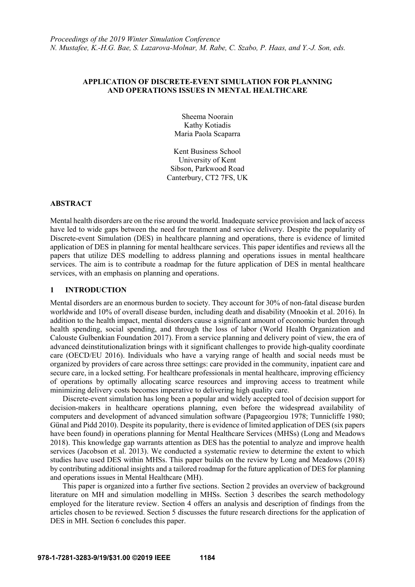### **APPLICATION OF DISCRETE-EVENT SIMULATION FOR PLANNING AND OPERATIONS ISSUES IN MENTAL HEALTHCARE**

Sheema Noorain Kathy Kotiadis Maria Paola Scaparra

Kent Business School University of Kent Sibson, Parkwood Road Canterbury, CT2 7FS, UK

#### **ABSTRACT**

Mental health disorders are on the rise around the world. Inadequate service provision and lack of access have led to wide gaps between the need for treatment and service delivery. Despite the popularity of Discrete-event Simulation (DES) in healthcare planning and operations, there is evidence of limited application of DES in planning for mental healthcare services. This paper identifies and reviews all the papers that utilize DES modelling to address planning and operations issues in mental healthcare services. The aim is to contribute a roadmap for the future application of DES in mental healthcare services, with an emphasis on planning and operations.

#### **1 INTRODUCTION**

Mental disorders are an enormous burden to society. They account for 30% of non-fatal disease burden worldwide and 10% of overall disease burden, including death and disability (Mnookin et al. 2016). In addition to the health impact, mental disorders cause a significant amount of economic burden through health spending, social spending, and through the loss of labor (World Health Organization and Calouste Gulbenkian Foundation 2017). From a service planning and delivery point of view, the era of advanced deinstitutionalization brings with it significant challenges to provide high-quality coordinate care (OECD/EU 2016). Individuals who have a varying range of health and social needs must be organized by providers of care across three settings: care provided in the community, inpatient care and secure care, in a locked setting. For healthcare professionals in mental healthcare, improving efficiency of operations by optimally allocating scarce resources and improving access to treatment while minimizing delivery costs becomes imperative to delivering high quality care.

Discrete-event simulation has long been a popular and widely accepted tool of decision support for decision-makers in healthcare operations planning, even before the widespread availability of computers and development of advanced simulation software (Papageorgiou 1978; Tunnicliffe 1980; Günal and Pidd 2010). Despite its popularity, there is evidence of limited application of DES (six papers have been found) in operations planning for Mental Healthcare Services (MHSs) (Long and Meadows 2018). This knowledge gap warrants attention as DES has the potential to analyze and improve health services (Jacobson et al. 2013). We conducted a systematic review to determine the extent to which studies have used DES within MHSs. This paper builds on the review by Long and Meadows (2018) by contributing additional insights and a tailored roadmap for the future application of DES for planning and operations issues in Mental Healthcare (MH).

This paper is organized into a further five sections. Section 2 provides an overview of background literature on MH and simulation modelling in MHSs. Section 3 describes the search methodology employed for the literature review. Section 4 offers an analysis and description of findings from the articles chosen to be reviewed. Section 5 discusses the future research directions for the application of DES in MH. Section 6 concludes this paper.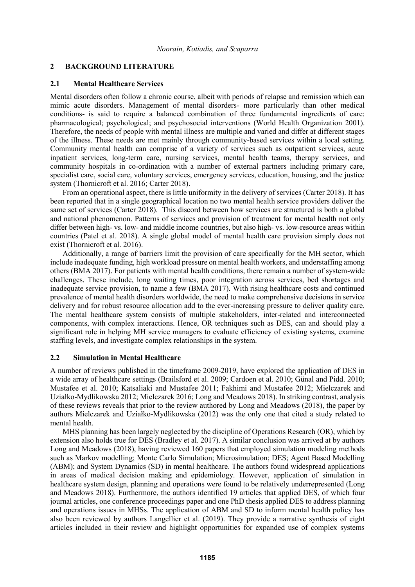### **2 BACKGROUND LITERATURE**

#### **2.1 Mental Healthcare Services**

Mental disorders often follow a chronic course, albeit with periods of relapse and remission which can mimic acute disorders. Management of mental disorders- more particularly than other medical conditions- is said to require a balanced combination of three fundamental ingredients of care: pharmacological; psychological; and psychosocial interventions (World Health Organization 2001). Therefore, the needs of people with mental illness are multiple and varied and differ at different stages of the illness. These needs are met mainly through community-based services within a local setting. Community mental health can comprise of a variety of services such as outpatient services, acute inpatient services, long-term care, nursing services, mental health teams, therapy services, and community hospitals in co-ordination with a number of external partners including primary care, specialist care, social care, voluntary services, emergency services, education, housing, and the justice system (Thornicroft et al. 2016; Carter 2018).

From an operational aspect, there is little uniformity in the delivery of services (Carter 2018). It has been reported that in a single geographical location no two mental health service providers deliver the same set of services (Carter 2018). This discord between how services are structured is both a global and national phenomenon. Patterns of services and provision of treatment for mental health not only differ between high- vs. low- and middle income countries, but also high- vs. low-resource areas within countries (Patel et al. 2018). A single global model of mental health care provision simply does not exist (Thornicroft et al. 2016).

Additionally, a range of barriers limit the provision of care specifically for the MH sector, which include inadequate funding, high workload pressure on mental health workers, and understaffing among others (BMA 2017). For patients with mental health conditions, there remain a number of system-wide challenges. These include, long waiting times, poor integration across services, bed shortages and inadequate service provision, to name a few (BMA 2017). With rising healthcare costs and continued prevalence of mental health disorders worldwide, the need to make comprehensive decisions in service delivery and for robust resource allocation add to the ever-increasing pressure to deliver quality care. The mental healthcare system consists of multiple stakeholders, inter-related and interconnected components, with complex interactions. Hence, OR techniques such as DES, can and should play a significant role in helping MH service managers to evaluate efficiency of existing systems, examine staffing levels, and investigate complex relationships in the system.

#### **2.2 Simulation in Mental Healthcare**

A number of reviews published in the timeframe 2009-2019, have explored the application of DES in a wide array of healthcare settings (Brailsford et al. 2009; Cardoen et al. 2010; Günal and Pidd. 2010; Mustafee et al. 2010; Katsaliaki and Mustafee 2011; Fakhimi and Mustafee 2012; Mielczarek and Uziałko-Mydlikowska 2012; Mielczarek 2016; Long and Meadows 2018). In striking contrast, analysis of these reviews reveals that prior to the review authored by Long and Meadows (2018), the paper by authors Mielczarek and Uziałko-Mydlikowska (2012) was the only one that cited a study related to mental health.

MHS planning has been largely neglected by the discipline of Operations Research (OR), which by extension also holds true for DES (Bradley et al. 2017). A similar conclusion was arrived at by authors Long and Meadows (2018), having reviewed 160 papers that employed simulation modeling methods such as Markov modelling; Monte Carlo Simulation; Microsimulation; DES; Agent Based Modelling (ABM); and System Dynamics (SD) in mental healthcare. The authors found widespread applications in areas of medical decision making and epidemiology. However, application of simulation in healthcare system design, planning and operations were found to be relatively underrepresented (Long and Meadows 2018). Furthermore, the authors identified 19 articles that applied DES, of which four journal articles, one conference proceedings paper and one PhD thesis applied DES to address planning and operations issues in MHSs. The application of ABM and SD to inform mental health policy has also been reviewed by authors Langellier et al. (2019). They provide a narrative synthesis of eight articles included in their review and highlight opportunities for expanded use of complex systems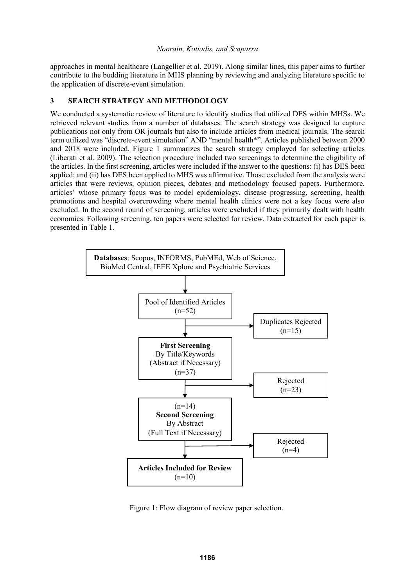approaches in mental healthcare (Langellier et al. 2019). Along similar lines, this paper aims to further contribute to the budding literature in MHS planning by reviewing and analyzing literature specific to the application of discrete-event simulation.

#### **3 SEARCH STRATEGY AND METHODOLOGY**

We conducted a systematic review of literature to identify studies that utilized DES within MHSs. We retrieved relevant studies from a number of databases. The search strategy was designed to capture publications not only from OR journals but also to include articles from medical journals. The search term utilized was "discrete-event simulation" AND "mental health\*". Articles published between 2000 and 2018 were included. Figure 1 summarizes the search strategy employed for selecting articles (Liberati et al. 2009). The selection procedure included two screenings to determine the eligibility of the articles. In the first screening, articles were included if the answer to the questions: (i) has DES been applied; and (ii) has DES been applied to MHS was affirmative. Those excluded from the analysis were articles that were reviews, opinion pieces, debates and methodology focused papers. Furthermore, articles' whose primary focus was to model epidemiology, disease progressing, screening, health promotions and hospital overcrowding where mental health clinics were not a key focus were also excluded. In the second round of screening, articles were excluded if they primarily dealt with health economics. Following screening, ten papers were selected for review. Data extracted for each paper is presented in Table 1.



Figure 1: Flow diagram of review paper selection.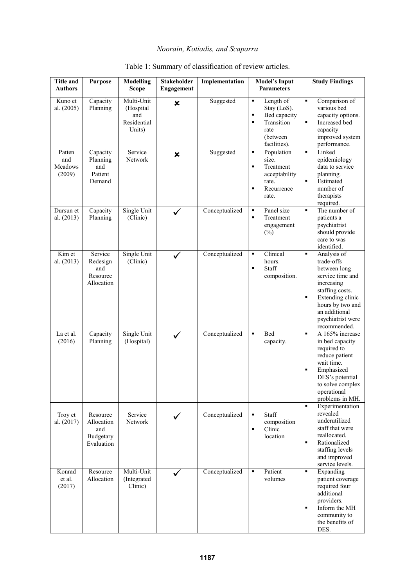| <b>Title and</b><br><b>Authors</b> | <b>Purpose</b>                                           | Modelling<br><b>Scope</b>                               | <b>Stakeholder</b><br>Engagement | Implementation | <b>Model's Input</b><br><b>Parameters</b>                                                                                                         | <b>Study Findings</b>                                                                                                                                                                                        |
|------------------------------------|----------------------------------------------------------|---------------------------------------------------------|----------------------------------|----------------|---------------------------------------------------------------------------------------------------------------------------------------------------|--------------------------------------------------------------------------------------------------------------------------------------------------------------------------------------------------------------|
| Kuno et<br>al. (2005)              | Capacity<br>Planning                                     | Multi-Unit<br>(Hospital<br>and<br>Residential<br>Units) | $\pmb{\times}$                   | Suggested      | Length of<br>$\blacksquare$<br>Stay (LoS).<br>$\blacksquare$<br>Bed capacity<br>Transition<br>$\blacksquare$<br>rate<br>(between)<br>facilities). | Comparison of<br>٠<br>various bed<br>capacity options.<br>Increased bed<br>٠<br>capacity<br>improved system<br>performance.                                                                                  |
| Patten<br>and<br>Meadows<br>(2009) | Capacity<br>Planning<br>and<br>Patient<br>Demand         | Service<br>Network                                      | ×                                | Suggested      | Population<br>$\blacksquare$<br>size.<br>Treatment<br>٠<br>acceptability<br>rate.<br>Recurrence<br>$\blacksquare$<br>rate.                        | Linked<br>$\blacksquare$<br>epidemiology<br>data to service<br>planning.<br>Estimated<br>$\blacksquare$<br>number of<br>therapists<br>required.                                                              |
| Dursun et<br>al. (2013)            | Capacity<br>Planning                                     | Single Unit<br>(Clinic)                                 | ✓                                | Conceptualized | Panel size<br>٠<br>Treatment<br>$\blacksquare$<br>engagement<br>$(\%)$                                                                            | The number of<br>$\blacksquare$<br>patients a<br>psychiatrist<br>should provide<br>care to was<br>identified.                                                                                                |
| Kim et<br>al. (2013)               | Service<br>Redesign<br>and<br>Resource<br>Allocation     | Single Unit<br>(Clinic)                                 |                                  | Conceptualized | Clinical<br>$\blacksquare$<br>hours.<br>Staff<br>$\blacksquare$<br>composition.                                                                   | ×,<br>Analysis of<br>trade-offs<br>between long<br>service time and<br>increasing<br>staffing costs.<br>Extending clinic<br>٠<br>hours by two and<br>an additional<br>psychiatrist were<br>recommended.      |
| La et al.<br>(2016)                | Capacity<br>Planning                                     | Single Unit<br>(Hospital)                               |                                  | Conceptualized | Bed<br>$\blacksquare$<br>capacity.                                                                                                                | $\blacksquare$<br>A 165% increase<br>in bed capacity<br>required to<br>reduce patient<br>wait time.<br>Emphasized<br>$\blacksquare$<br>DES's potential<br>to solve complex<br>operational<br>problems in MH. |
| Troy et<br>al. (2017)              | Resource<br>Allocation<br>and<br>Budgetary<br>Evaluation | Service<br>Network                                      |                                  | Conceptualized | Staff<br>٠<br>composition<br>$\blacksquare$<br>Clinic<br>location                                                                                 | Experimentation<br>٠<br>revealed<br>underutilized<br>staff that were<br>reallocated.<br>Rationalized<br>$\blacksquare$<br>staffing levels<br>and improved<br>service levels.                                 |
| Konrad<br>et al.<br>(2017)         | Resource<br>Allocation                                   | Multi-Unit<br>(Integrated)<br>Clinic)                   |                                  | Conceptualized | Patient<br>$\blacksquare$<br>volumes                                                                                                              | Expanding<br>٠<br>patient coverage<br>required four<br>additional<br>providers.<br>Inform the MH<br>$\blacksquare$<br>community to<br>the benefits of<br>DES.                                                |

# Table 1: Summary of classification of review articles.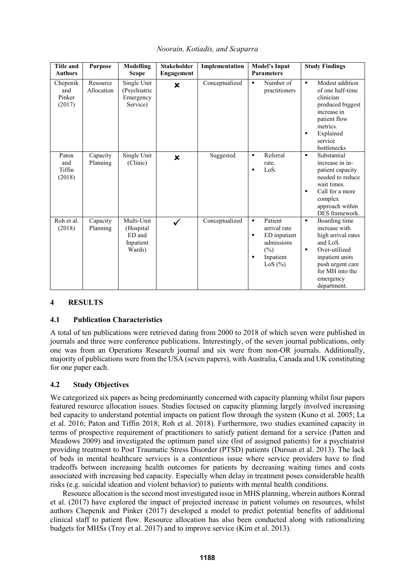| <b>Title and</b><br><b>Authors</b>  | <b>Purpose</b>         | Modelling<br><b>Scope</b>                                | <b>Stakeholder</b><br>Engagement | Implementation | <b>Model's Input</b><br><b>Parameters</b>                                                                            | <b>Study Findings</b>                                                                                                                                                                      |
|-------------------------------------|------------------------|----------------------------------------------------------|----------------------------------|----------------|----------------------------------------------------------------------------------------------------------------------|--------------------------------------------------------------------------------------------------------------------------------------------------------------------------------------------|
| Chepenik<br>and<br>Pinker<br>(2017) | Resource<br>Allocation | Single Unit<br>(Psychiatric<br>Emergency<br>Service)     | $\mathbf x$                      | Conceptualized | Number of<br>٠<br>practitioners                                                                                      | Modest addition<br>$\blacksquare$<br>of one half-time<br>clinician<br>produced biggest<br>increase in<br>patient flow<br>metrics.<br>Explained<br>$\blacksquare$<br>service<br>bottlenecks |
| Paton<br>and<br>Tiffin<br>(2018)    | Capacity<br>Planning   | Single Unit<br>(Clinic)                                  | $\boldsymbol{\mathsf{x}}$        | Suggested      | Referral<br>٠<br>rate.<br>LoS.<br>п                                                                                  | Substantial<br>٠<br>increase in in-<br>patient capacity<br>needed to reduce<br>wait times.<br>Call for a more<br>$\blacksquare$<br>complex<br>approach within<br>DES framework.            |
| Roh et al.<br>(2018)                | Capacity<br>Planning   | Multi-Unit<br>(Hospital<br>ED and<br>Inpatient<br>Wards) |                                  | Conceptualized | Patient<br>٠<br>arrival rate<br>ED inpatient<br>٠<br>admissions<br>(%)<br>Inpatient<br>$\blacksquare$<br>LoS $(\% )$ | Boarding time<br>٠<br>increase with<br>high arrival rates<br>and LoS.<br>Over-utilized<br>٠<br>inpatient units<br>push urgent care<br>for MH into the<br>emergency<br>department.          |

*Noorain, Kotiadis, and Scaparra*

## **4 RESULTS**

### **4.1 Publication Characteristics**

A total of ten publications were retrieved dating from 2000 to 2018 of which seven were published in journals and three were conference publications. Interestingly, of the seven journal publications, only one was from an Operations Research journal and six were from non-OR journals. Additionally, majority of publications were from the USA (seven papers), with Australia, Canada and UK constituting for one paper each.

## **4.2 Study Objectives**

We categorized six papers as being predominantly concerned with capacity planning whilst four papers featured resource allocation issues. Studies focused on capacity planning largely involved increasing bed capacity to understand potential impacts on patient flow through the system (Kuno et al. 2005; La et al. 2016; Paton and Tiffin 2018; Roh et al. 2018). Furthermore, two studies examined capacity in terms of prospective requirement of practitioners to satisfy patient demand for a service (Patten and Meadows 2009) and investigated the optimum panel size (list of assigned patients) for a psychiatrist providing treatment to Post Traumatic Stress Disorder (PTSD) patients (Dursun et al. 2013). The lack of beds in mental healthcare services is a contentious issue where service providers have to find tradeoffs between increasing health outcomes for patients by decreasing waiting times and costs associated with increasing bed capacity. Especially when delay in treatment poses considerable health risks (e.g. suicidal ideation and violent behavior) to patients with mental health conditions.

Resource allocation is the second most investigated issue in MHS planning, wherein authors Konrad et al. (2017) have explored the impact of projected increase in patient volumes on resources, whilst authors Chepenik and Pinker (2017) developed a model to predict potential benefits of additional clinical staff to patient flow. Resource allocation has also been conducted along with rationalizing budgets for MHSs (Troy et al. 2017) and to improve service (Kim et al. 2013).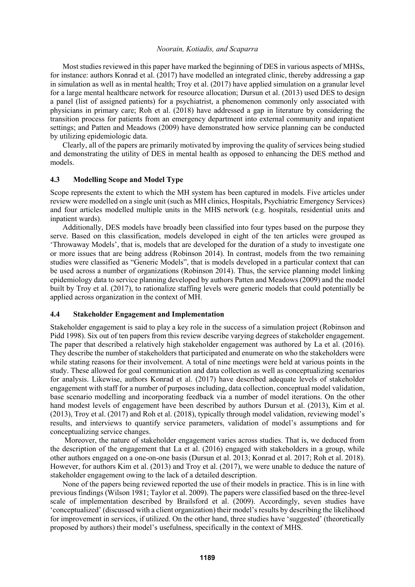Most studies reviewed in this paper have marked the beginning of DES in various aspects of MHSs, for instance: authors Konrad et al. (2017) have modelled an integrated clinic, thereby addressing a gap in simulation as well as in mental health; Troy et al. (2017) have applied simulation on a granular level for a large mental healthcare network for resource allocation; Dursun et al. (2013) used DES to design a panel (list of assigned patients) for a psychiatrist, a phenomenon commonly only associated with physicians in primary care; Roh et al. (2018) have addressed a gap in literature by considering the transition process for patients from an emergency department into external community and inpatient settings; and Patten and Meadows (2009) have demonstrated how service planning can be conducted by utilizing epidemiologic data.

Clearly, all of the papers are primarily motivated by improving the quality of services being studied and demonstrating the utility of DES in mental health as opposed to enhancing the DES method and models.

#### **4.3 Modelling Scope and Model Type**

Scope represents the extent to which the MH system has been captured in models. Five articles under review were modelled on a single unit (such as MH clinics, Hospitals, Psychiatric Emergency Services) and four articles modelled multiple units in the MHS network (e.g. hospitals, residential units and inpatient wards).

Additionally, DES models have broadly been classified into four types based on the purpose they serve. Based on this classification, models developed in eight of the ten articles were grouped as 'Throwaway Models', that is, models that are developed for the duration of a study to investigate one or more issues that are being address (Robinson 2014). In contrast, models from the two remaining studies were classified as "Generic Models", that is models developed in a particular context that can be used across a number of organizations (Robinson 2014). Thus, the service planning model linking epidemiology data to service planning developed by authors Patten and Meadows (2009) and the model built by Troy et al. (2017), to rationalize staffing levels were generic models that could potentially be applied across organization in the context of MH.

#### **4.4 Stakeholder Engagement and Implementation**

Stakeholder engagement is said to play a key role in the success of a simulation project (Robinson and Pidd 1998). Six out of ten papers from this review describe varying degrees of stakeholder engagement. The paper that described a relatively high stakeholder engagement was authored by La et al. (2016). They describe the number of stakeholders that participated and enumerate on who the stakeholders were while stating reasons for their involvement. A total of nine meetings were held at various points in the study. These allowed for goal communication and data collection as well as conceptualizing scenarios for analysis. Likewise, authors Konrad et al. (2017) have described adequate levels of stakeholder engagement with staff for a number of purposes including, data collection, conceptual model validation, base scenario modelling and incorporating feedback via a number of model iterations. On the other hand modest levels of engagement have been described by authors Dursun et al. (2013), Kim et al. (2013), Troy et al. (2017) and Roh et al. (2018), typically through model validation, reviewing model's results, and interviews to quantify service parameters, validation of model's assumptions and for conceptualizing service changes.

Moreover, the nature of stakeholder engagement varies across studies. That is, we deduced from the description of the engagement that La et al. (2016) engaged with stakeholders in a group, while other authors engaged on a one-on-one basis (Dursun et al. 2013; Konrad et al. 2017; Roh et al. 2018). However, for authors Kim et al. (2013) and Troy et al. (2017), we were unable to deduce the nature of stakeholder engagement owing to the lack of a detailed description.

None of the papers being reviewed reported the use of their models in practice. This is in line with previous findings (Wilson 1981; Taylor et al. 2009). The papers were classified based on the three-level scale of implementation described by Brailsford et al. (2009). Accordingly, seven studies have 'conceptualized' (discussed with a client organization) their model's results by describing the likelihood for improvement in services, if utilized. On the other hand, three studies have 'suggested' (theoretically proposed by authors) their model's usefulness, specifically in the context of MHS.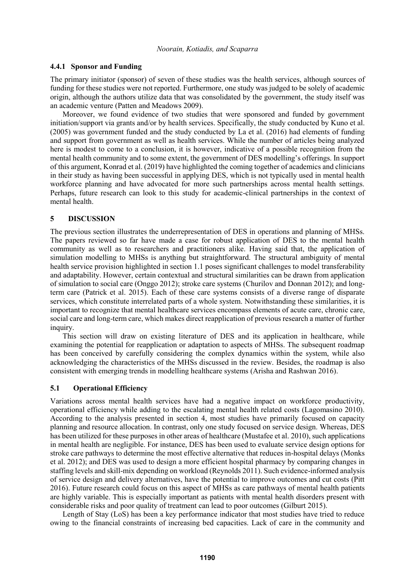#### **4.4.1 Sponsor and Funding**

The primary initiator (sponsor) of seven of these studies was the health services, although sources of funding for these studies were not reported. Furthermore, one study was judged to be solely of academic origin, although the authors utilize data that was consolidated by the government, the study itself was an academic venture (Patten and Meadows 2009).

Moreover, we found evidence of two studies that were sponsored and funded by government initiation/support via grants and/or by health services. Specifically, the study conducted by Kuno et al. (2005) was government funded and the study conducted by La et al. (2016) had elements of funding and support from government as well as health services. While the number of articles being analyzed here is modest to come to a conclusion, it is however, indicative of a possible recognition from the mental health community and to some extent, the government of DES modelling's offerings. In support of this argument, Konrad et al. (2019) have highlighted the coming together of academics and clinicians in their study as having been successful in applying DES, which is not typically used in mental health workforce planning and have advocated for more such partnerships across mental health settings. Perhaps, future research can look to this study for academic-clinical partnerships in the context of mental health.

#### **5 DISCUSSION**

The previous section illustrates the underrepresentation of DES in operations and planning of MHSs. The papers reviewed so far have made a case for robust application of DES to the mental health community as well as to researchers and practitioners alike. Having said that, the application of simulation modelling to MHSs is anything but straightforward. The structural ambiguity of mental health service provision highlighted in section 1.1 poses significant challenges to model transferability and adaptability. However, certain contextual and structural similarities can be drawn from application of simulation to social care (Onggo 2012); stroke care systems (Churilov and Donnan 2012); and longterm care (Patrick et al. 2015). Each of these care systems consists of a diverse range of disparate services, which constitute interrelated parts of a whole system. Notwithstanding these similarities, it is important to recognize that mental healthcare services encompass elements of acute care, chronic care, social care and long-term care, which makes direct reapplication of previous research a matter of further inquiry.

This section will draw on existing literature of DES and its application in healthcare, while examining the potential for reapplication or adaptation to aspects of MHSs. The subsequent roadmap has been conceived by carefully considering the complex dynamics within the system, while also acknowledging the characteristics of the MHSs discussed in the review. Besides, the roadmap is also consistent with emerging trends in modelling healthcare systems (Arisha and Rashwan 2016).

#### **5.1 Operational Efficiency**

Variations across mental health services have had a negative impact on workforce productivity, operational efficiency while adding to the escalating mental health related costs (Lagomasino 2010). According to the analysis presented in section 4, most studies have primarily focused on capacity planning and resource allocation. In contrast, only one study focused on service design. Whereas, DES has been utilized for these purposes in other areas of healthcare (Mustafee et al. 2010), such applications in mental health are negligible. For instance, DES has been used to evaluate service design options for stroke care pathways to determine the most effective alternative that reduces in-hospital delays (Monks et al. 2012); and DES was used to design a more efficient hospital pharmacy by comparing changes in staffing levels and skill-mix depending on workload (Reynolds 2011). Such evidence-informed analysis of service design and delivery alternatives, have the potential to improve outcomes and cut costs (Pitt 2016). Future research could focus on this aspect of MHSs as care pathways of mental health patients are highly variable. This is especially important as patients with mental health disorders present with considerable risks and poor quality of treatment can lead to poor outcomes (Gilburt 2015).

Length of Stay (LoS) has been a key performance indicator that most studies have tried to reduce owing to the financial constraints of increasing bed capacities. Lack of care in the community and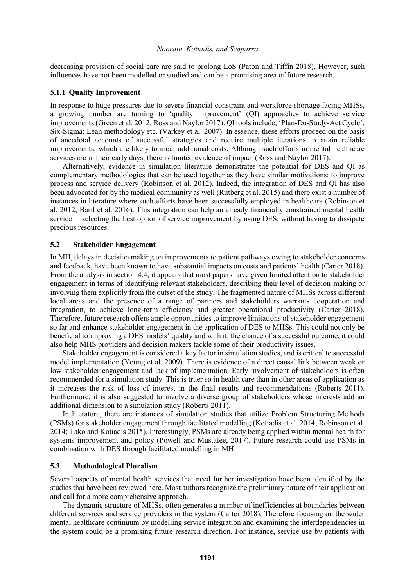decreasing provision of social care are said to prolong LoS (Paton and Tiffin 2018). However, such influences have not been modelled or studied and can be a promising area of future research.

#### **5.1.1 Quality Improvement**

In response to huge pressures due to severe financial constraint and workforce shortage facing MHSs, a growing number are turning to 'quality improvement' (QI) approaches to achieve service improvements (Green et al. 2012; Ross and Naylor 2017). QI tools include, 'Plan-Do-Study-Act Cycle'; Six-Sigma; Lean methodology etc. (Varkey et al. 2007). In essence, these efforts proceed on the basis of anecdotal accounts of successful strategies and require multiple iterations to attain reliable improvements, which are likely to incur additional costs. Although such efforts in mental healthcare services are in their early days, there is limited evidence of impact (Ross and Naylor 2017).

Alternatively, evidence in simulation literature demonstrates the potential for DES and QI as complementary methodologies that can be used together as they have similar motivations: to improve process and service delivery (Robinson et al. 2012). Indeed, the integration of DES and QI has also been advocated for by the medical community as well (Rutberg et al. 2015) and there exist a number of instances in literature where such efforts have been successfully employed in healthcare (Robinson et al. 2012; Baril et al. 2016). This integration can help an already financially constrained mental health service in selecting the best option of service improvement by using DES, without having to dissipate precious resources.

#### **5.2 Stakeholder Engagement**

In MH, delays in decision making on improvements to patient pathways owing to stakeholder concerns and feedback, have been known to have substantial impacts on costs and patients' health (Carter 2018). From the analysis in section 4.4, it appears that most papers have given limited attention to stakeholder engagement in terms of identifying relevant stakeholders, describing their level of decision-making or involving them explicitly from the outset of the study. The fragmented nature of MHSs across different local areas and the presence of a range of partners and stakeholders warrants cooperation and integration, to achieve long-term efficiency and greater operational productivity (Carter 2018). Therefore, future research offers ample opportunities to improve limitations of stakeholder engagement so far and enhance stakeholder engagement in the application of DES to MHSs. This could not only be beneficial to improving a DES models' quality and with it, the chance of a successful outcome, it could also help MHS providers and decision makers tackle some of their productivity issues.

Stakeholder engagement is considered a key factor in simulation studies, and is critical to successful model implementation (Young et al. 2009). There is evidence of a direct causal link between weak or low stakeholder engagement and lack of implementation. Early involvement of stakeholders is often recommended for a simulation study. This is truer so in health care than in other areas of application as it increases the risk of loss of interest in the final results and recommendations (Roberts 2011). Furthermore, it is also suggested to involve a diverse group of stakeholders whose interests add an additional dimension to a simulation study (Roberts 2011).

In literature, there are instances of simulation studies that utilize Problem Structuring Methods (PSMs) for stakeholder engagement through facilitated modelling (Kotiadis et al. 2014; Robinson et al. 2014; Tako and Kotiadis 2015). Interestingly, PSMs are already being applied within mental health for systems improvement and policy (Powell and Mustafee, 2017). Future research could use PSMs in combination with DES through facilitated modelling in MH.

#### **5.3 Methodological Pluralism**

Several aspects of mental health services that need further investigation have been identified by the studies that have been reviewed here. Most authors recognize the preliminary nature of their application and call for a more comprehensive approach.

The dynamic structure of MHSs, often generates a number of inefficiencies at boundaries between different services and service providers in the system (Carter 2018). Therefore focusing on the wider mental healthcare continuum by modelling service integration and examining the interdependencies in the system could be a promising future research direction. For instance, service use by patients with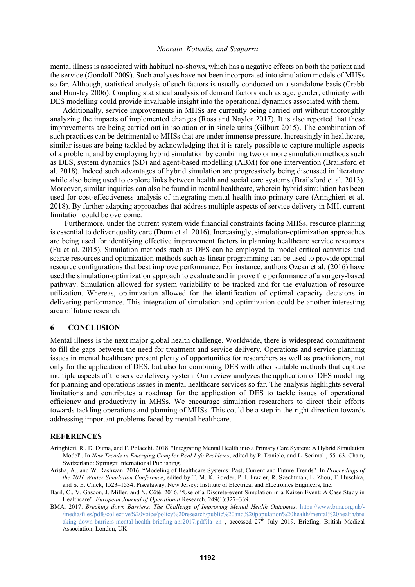mental illness is associated with habitual no-shows, which has a negative effects on both the patient and the service (Gondolf 2009). Such analyses have not been incorporated into simulation models of MHSs so far. Although, statistical analysis of such factors is usually conducted on a standalone basis (Crabb and Hunsley 2006). Coupling statistical analysis of demand factors such as age, gender, ethnicity with DES modelling could provide invaluable insight into the operational dynamics associated with them.

Additionally, service improvements in MHSs are currently being carried out without thoroughly analyzing the impacts of implemented changes (Ross and Naylor 2017). It is also reported that these improvements are being carried out in isolation or in single units (Gilburt 2015). The combination of such practices can be detrimental to MHSs that are under immense pressure. Increasingly in healthcare, similar issues are being tackled by acknowledging that it is rarely possible to capture multiple aspects of a problem, and by employing hybrid simulation by combining two or more simulation methods such as DES, system dynamics (SD) and agent-based modelling (ABM) for one intervention (Brailsford et al. 2018). Indeed such advantages of hybrid simulation are progressively being discussed in literature while also being used to explore links between health and social care systems (Brailsford et al. 2013). Moreover, similar inquiries can also be found in mental healthcare, wherein hybrid simulation has been used for cost-effectiveness analysis of integrating mental health into primary care (Aringhieri et al. 2018). By further adapting approaches that address multiple aspects of service delivery in MH, current limitation could be overcome.

Furthermore, under the current system wide financial constraints facing MHSs, resource planning is essential to deliver quality care (Dunn et al. 2016). Increasingly, simulation-optimization approaches are being used for identifying effective improvement factors in planning healthcare service resources (Fu et al. 2015). Simulation methods such as DES can be employed to model critical activities and scarce resources and optimization methods such as linear programming can be used to provide optimal resource configurations that best improve performance. For instance, authors Ozcan et al. (2016) have used the simulation-optimization approach to evaluate and improve the performance of a surgery-based pathway. Simulation allowed for system variability to be tracked and for the evaluation of resource utilization. Whereas, optimization allowed for the identification of optimal capacity decisions in delivering performance. This integration of simulation and optimization could be another interesting area of future research.

#### **6 CONCLUSION**

Mental illness is the next major global health challenge. Worldwide, there is widespread commitment to fill the gaps between the need for treatment and service delivery. Operations and service planning issues in mental healthcare present plenty of opportunities for researchers as well as practitioners, not only for the application of DES, but also for combining DES with other suitable methods that capture multiple aspects of the service delivery system. Our review analyzes the application of DES modelling for planning and operations issues in mental healthcare services so far. The analysis highlights several limitations and contributes a roadmap for the application of DES to tackle issues of operational efficiency and productivity in MHSs. We encourage simulation researchers to direct their efforts towards tackling operations and planning of MHSs. This could be a step in the right direction towards addressing important problems faced by mental healthcare.

#### **REFERENCES**

- Aringhieri, R., D. Duma, and F. Polacchi. 2018. "Integrating Mental Health into a Primary Care System: A Hybrid Simulation Model". In *New Trends in Emerging Complex Real Life Problems*, edited by P. Daniele, and L. Scrimali, 55–63. Cham, Switzerland: Springer International Publishing.
- Arisha, A., and W. Rashwan. 2016. "Modeling of Healthcare Systems: Past, Current and Future Trends". In *Proceedings of the 2016 Winter Simulation Conference*, edited by T. M. K. Roeder, P. I. Frazier, R. Szechtman, E. Zhou, T. Huschka, and S. E. Chick, 1523–1534. Piscataway, New Jersey: Institute of Electrical and Electronics Engineers, Inc.
- Baril, C., V. Gascon, J. Miller, and N. Côté. 2016. "Use of a Discrete-event Simulation in a Kaizen Event: A Case Study in Healthcare". *European Journal of Operational* Research, 249(1):327–339.
- BMA. 2017. *Breaking down Barriers: The Challenge of Improving Mental Health Outcomes*. [https://www.bma.org.uk/-](https://www.bma.org.uk/-/media/files/pdfs/collective%20voice/policy%20research/public%20and%20population%20health/mental%20health/breaking-down-barriers-mental-health-briefing-apr2017.pdf?la=en) [/media/files/pdfs/collective%20voice/policy%20research/public%20and%20population%20health/mental%20health/bre](https://www.bma.org.uk/-/media/files/pdfs/collective%20voice/policy%20research/public%20and%20population%20health/mental%20health/breaking-down-barriers-mental-health-briefing-apr2017.pdf?la=en) [aking-down-barriers-mental-health-briefing-apr2017.pdf?la=en](https://www.bma.org.uk/-/media/files/pdfs/collective%20voice/policy%20research/public%20and%20population%20health/mental%20health/breaking-down-barriers-mental-health-briefing-apr2017.pdf?la=en) , accessed 27th July 2019. Briefing, British Medical Association, London, UK.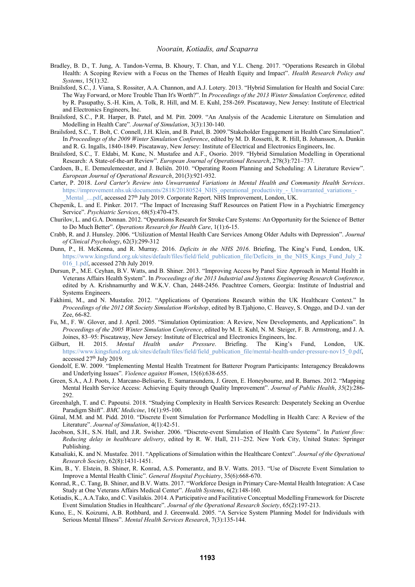- Bradley, B. D., T. Jung, A. Tandon-Verma, B. Khoury, T. Chan, and Y.L. Cheng. 2017. "Operations Research in Global Health: A Scoping Review with a Focus on the Themes of Health Equity and Impact". *Health Research Policy and Systems*, 15(1):32.
- Brailsford, S.C., J. Viana, S. Rossiter, A.A. Channon, and A.J. Lotery. 2013. "Hybrid Simulation for Health and Social Care: The Way Forward, or More Trouble Than It's Worth?". In *Proceedings of the 2013 Winter Simulation Conference,* edited by R. Pasupathy, S.-H. Kim, A. Tolk, R. Hill, and M. E. Kuhl, 258-269. Piscataway, New Jersey: Institute of Electrical and Electronics Engineers, Inc.
- Brailsford, S.C., P.R. Harper, B. Patel, and M. Pitt. 2009. "An Analysis of the Academic Literature on Simulation and Modelling in Health Care"*. Journal of Simulation*, 3(3):130-140.
- Brailsford, S.C., T. Bolt, C. Connell, J.H. Klein, and B. Patel, B. 2009."Stakeholder Engagement in Health Care Simulation". In *Proceedings of the 2009 Winter Simulation Conference*, edited by M. D. Rossetti, R. R. Hill, B. Johansson, A. Dunkin and R. G. Ingalls, 1840-1849. Piscataway, New Jersey: Institute of Electrical and Electronics Engineers, Inc.
- Brailsford, S.C., T. Eldabi, M. Kunc, N. Mustafee and A.F., Osorio. 2019. "Hybrid Simulation Modelling in Operational Research: A State-of-the-art Review". *European Journal of Operational Research*, 278(3):721–737.
- Cardoen, B., E. Demeulemeester, and J. Beliën. 2010. "Operating Room Planning and Scheduling: A Literature Review". *European Journal of Operational Research*, 201(3):921-932.
- Carter, P. 2018. *Lord Carter's Review into Unwarranted Variations in Mental Health and Community Health Services*. [https://improvement.nhs.uk/documents/2818/20180524\\_NHS\\_operational\\_productivity\\_-\\_Unwarranted\\_variations\\_-](https://improvement.nhs.uk/documents/2818/20180524_NHS_operational_productivity_-_Unwarranted_variations_-_Mental_....pdf) Mental ....pdf, accessed 27<sup>th</sup> July 2019. Corporate Report, NHS Improvement, London, UK.
- Chepenik, L. and E. Pinker. 2017. "The Impact of Increasing Staff Resources on Patient Flow in a Psychiatric Emergency Service". *Psychiatric Services*, 68(5):470-475.
- Churilov, L. and G.A. Donnan. 2012. "Operations Research for Stroke Care Systems: An Opportunity for the Science of Better to Do Much Better". *Operations Research for Health Care*, 1(1):6-15.
- Crabb, R. and J. Hunsley. 2006. "Utilization of Mental Health Care Services Among Older Adults with Depression". *Journal of Clinical Psychology*, 62(3):299-312
- Dunn, P., H. McKenna, and R. Murray. 2016. *Deficits in the NHS 2016*. Briefing, The King's Fund, London, UK. [https://www.kingsfund.org.uk/sites/default/files/field/field\\_publication\\_file/Deficits\\_in\\_the\\_NHS\\_Kings\\_Fund\\_July\\_2](https://www.kingsfund.org.uk/sites/default/files/field/field_publication_file/Deficits_in_the_NHS_Kings_Fund_July_2016_1.pdf) 016 1.pdf, accessed 27th July 2019.
- Dursun, P., M.E. Ceyhan, B.V. Watts, and B. Shiner. 2013. "Improving Access by Panel Size Approach in Mental Health in Veterans Affairs Health System". In *Proceedings of the 2013 Industrial and Systems Engineering Research Conference,*  edited by A. Krishnamurthy and W.K.V. Chan, 2448-2456. [Peachtree Corners, Georgia:](https://www.google.com/search?client=firefox-b-d&channel=crow&q=Peachtree+Corners&stick=H4sIAAAAAAAAAOPgE-LVT9c3NEzOzcsrrkhOUeLUz9U3SMm1NE3R0sgot9JPzs_JSU0uyczP088vSk_My6xKBHGKrdITi4oyi4HCGYWLWAUDUhOTM0qKUlMVnPOL8lKLigHOeDllWgAAAA&sa=X&ved=2ahUKEwih77SPldXjAhXnXhUIHUmzB9gQmxMoATASegQICxAK) [Institute of Industrial and](https://search.proquest.com/publisherlinkhandler/sng/pb/Institute+of+Industrial+and+Systems+Engineers+$28IISE$29/$N?accountid=7408)  [Systems Engineers.](https://search.proquest.com/publisherlinkhandler/sng/pb/Institute+of+Industrial+and+Systems+Engineers+$28IISE$29/$N?accountid=7408)
- Fakhimi, M., and N. Mustafee. 2012. "Applications of Operations Research within the UK Healthcare Context." In *Proceedings of the 2012 OR Society Simulation Workshop*, edited by B.Tjahjono, C. Heavey, S. Onggo, and D-J. van der Zee, 66-82.
- Fu, M., F. W. Glover, and J. April. 2005. "Simulation Optimization: A Review, New Developments, and Applications". In *Proceedings of the 2005 Winter Simulation Conference*, edited by M. E. Kuhl, N. M. Steiger, F. B. Armstrong, and J. A. Joines, 83–95: Piscataway, New Jersey: Institute of Electrical and Electronics Engineers, Inc.
- Gilburt, H. 2015. *Mental Health under Pressure*. Briefing. The King's Fund, London, [https://www.kingsfund.org.uk/sites/default/files/field/field\\_publication\\_file/mental-health-under-pressure-nov15\\_0.pdf,](https://www.kingsfund.org.uk/sites/default/files/field/field_publication_file/mental-health-under-pressure-nov15_0.pdf) accessed 27th July 2019.
- Gondolf, E.W. 2009. "Implementing Mental Health Treatment for Batterer Program Participants: Interagency Breakdowns and Underlying Issues"*. Violence against Women*, 15(6):638-655.
- Green, S.A., A.J. Poots, J. Marcano-Belisario, E. Samarasundera, J. Green, E. Honeybourne, and R. Barnes. 2012. "Mapping Mental Health Service Access: Achieving Equity through Quality Improvement". *Journal of Public Health*, *35*(2):286- 292.
- Greenhalgh, T. and C. Papoutsi. 2018. "Studying Complexity in Health Services Research: Desperately Seeking an Overdue Paradigm Shift". *BMC Medicine*, 16(1):95-100.
- Günal, M.M. and M. Pidd. 2010. "Discrete Event Simulation for Performance Modelling in Health Care: A Review of the Literature". *Journal of Simulation*, 4(1):42-51.
- Jacobson, S.H., S.N. Hall, and J.R. Swisher. 2006. "Discrete-event Simulation of Health Care Systems". In *Patient flow: Reducing delay in healthcare delivery*, edited by R. W. Hall, 211–252. New York City, United States: Springer Publishing.
- Katsaliaki, K. and N. Mustafee. 2011. "Applications of Simulation within the Healthcare Context". *Journal of the Operational Research Society*, 62(8):1431-1451.
- Kim, B., Y. Elstein, B. Shiner, R. Konrad, A.S. Pomerantz, and B.V. Watts. 2013. "Use of Discrete Event Simulation to Improve a Mental Health Clinic". *General Hospital Psychiatry*, 35(6):668-670.
- Konrad, R., C. Tang, B. Shiner, and B.V. Watts. 2017. "Workforce Design in Primary Care-Mental Health Integration: A Case Study at One Veterans Affairs Medical Center". *Health Systems*, 6(2):148-160.
- Kotiadis, K., A.A.Tako, and C. Vasilakis. 2014. A Participative and Facilitative Conceptual Modelling Framework for Discrete Event Simulation Studies in Healthcare". *Journal of the Operational Research Society*, 65(2):197-213.
- Kuno, E., N. Koizumi, A.B. Rothbard, and J. Greenwald. 2005. "A Service System Planning Model for Individuals with Serious Mental Illness". *Mental Health Services Research*, 7(3):135-144.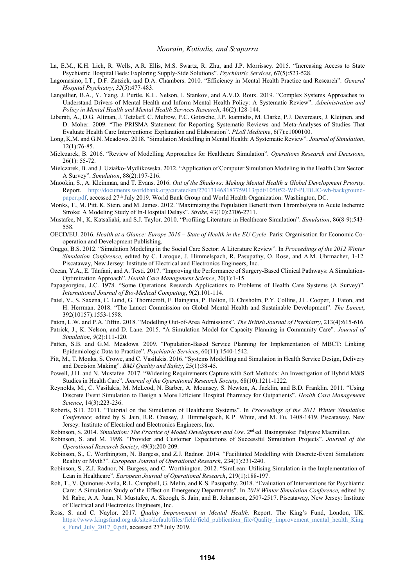- La, E.M., K.H. Lich, R. Wells, A.R. Ellis, M.S. Swartz, R. Zhu, and J.P. Morrissey. 2015. "Increasing Access to State Psychiatric Hospital Beds: Exploring Supply-Side Solutions". *Psychiatric Services*, 67(5):523-528.
- Lagomasino, I.T., D.F. Zatzick, and D.A. Chambers. 2010. "Efficiency in Mental Health Practice and Research". *General Hospital Psychiatry*, *32*(5):477-483.
- Langellier, B.A., Y. Yang, J. Purtle, K.L. Nelson, I. Stankov, and A.V.D. Roux. 2019. "Complex Systems Approaches to Understand Drivers of Mental Health and Inform Mental Health Policy: A Systematic Review". *Administration and Policy in Mental Health and Mental Health Services Research*, 46(2):128-144.
- Liberati, A., D.G. Altman, J. Tetzlaff, C. Mulrow, P.C. Gøtzsche, J.P. Ioannidis, M. Clarke, P.J. Devereaux, J. Kleijnen, and D. Moher. 2009. "The PRISMA Statement for Reporting Systematic Reviews and Meta-Analyses of Studies That Evaluate Health Care Interventions: Explanation and Elaboration". *PLoS Medicine*, 6(7):e1000100.
- Long, K.M. and G.N. Meadows. 2018. "Simulation Modelling in Mental Health: A Systematic Review". *Journal of Simulation*, 12(1):76-85.
- Mielczarek, B. 2016. "Review of Modelling Approaches for Healthcare Simulation". *Operations Research and Decisions*, 26(1): 55-72.
- Mielczarek, B. and J. Uziałko-Mydlikowska. 2012. "Application of Computer Simulation Modeling in the Health Care Sector: A Survey". *Simulation*, 88(2):197-216.
- Mnookin, S., A. Kleinman, and T. Evans. 2016. *Out of the Shadows: Making Mental Health a Global Development Priority*. Report. [http://documents.worldbank.org/curated/en/270131468187759113/pdf/105052-WP-PUBLIC-wb-background](http://documents.worldbank.org/curated/en/270131468187759113/pdf/105052-WP-PUBLIC-wb-background-paper.pdf)[paper.pdf,](http://documents.worldbank.org/curated/en/270131468187759113/pdf/105052-WP-PUBLIC-wb-background-paper.pdf) accessed 27th July 2019. World Bank Group and World Health Organization: Washington, DC.
- Monks, T., M. Pitt. K. Stein, and M. James. 2012. "Maximizing the Population Benefit from Thrombolysis in Acute Ischemic Stroke: A Modeling Study of In-Hospital Delays". *Stroke*, 43(10):2706-2711.
- Mustafee, N., K. Katsaliaki, and S.J. Taylor. 2010. "Profiling Literature in Healthcare Simulation". *Simulation*, 86(8-9):543- 558.
- OECD/EU. 2016. *Health at a Glance: Europe 2016 – State of Health in the EU Cycle*. Paris: Organisation for Economic Cooperation and Development Publishing.
- Onggo, B.S. 2012. "Simulation Modeling in the Social Care Sector: A Literature Review". In *Proceedings of the 2012 Winter Simulation Conference,* edited by C. Laroque, J. Himmelspach, R. Pasupathy, O. Rose, and A.M. Uhrmacher, 1-12. Piscataway, New Jersey: Institute of Electrical and Electronics Engineers, Inc.
- Ozcan, Y.A., E. Tànfani, and A. Testi. 2017. "Improving the Performance of Surgery-Based Clinical Pathways: A Simulation-Optimization Approach". *Health Care Management Science*, 20(1):1-15.
- Papageorgiou, J.C. 1978. "Some Operations Research Applications to Problems of Health Care Systems (A Survey)". *International Journal of Bio-Medical Computing*, 9(2):101-114.
- Patel, V., S. Saxena, C. Lund, G. Thornicroft, F. Baingana, P. Bolton, D. Chisholm, P.Y. Collins, J.L. Cooper, J. Eaton, and H. Herrman. 2018. "The Lancet Commission on Global Mental Health and Sustainable Development". *The Lancet*, 392(10157):1553-1598.
- Paton, L.W. and P.A. Tiffin. 2018. "Modelling Out-of-Area Admissions". *The British Journal of Psychiatry*, 213(4):615-616.
- Patrick, J., K. Nelson, and D. Lane. 2015. "A Simulation Model for Capacity Planning in Community Care". *Journal of Simulation*, *9*(2):111-120.
- Patten, S.B. and G.M. Meadows. 2009. "Population-Based Service Planning for Implementation of MBCT: Linking Epidemiologic Data to Practice". *Psychiatric Services*, 60(11):1540-1542.
- Pitt, M., T. Monks, S. Crowe, and C. Vasilakis. 2016. "Systems Modelling and Simulation in Health Service Design, Delivery and Decision Making". *BMJ Quality and Safety*, 25(1):38-45.
- Powell, J.H. and N. Mustafee. 2017. "Widening Requirements Capture with Soft Methods: An Investigation of Hybrid M&S Studies in Health Care". *Journal of the Operational Research Society*, 68(10):1211-1222.
- Reynolds, M., C. Vasilakis, M. McLeod, N. Barber, A. Mounsey, S. Newton, A. Jacklin, and B.D. Franklin. 2011. "Using Discrete Event Simulation to Design a More Efficient Hospital Pharmacy for Outpatients". *Health Care Management Science*, 14(3):223-236.
- Roberts, S.D. 2011. "Tutorial on the Simulation of Healthcare Systems". In *Proceedings of the 2011 Winter Simulation Conference,* edited by S. Jain, R.R. Creasey, J. Himmelspach, K.P. White, and M. Fu, 1408-1419. Piscataway, New Jersey: Institute of Electrical and Electronics Engineers, Inc.
- Robinson, S. 2014. *Simulation: The Practice of Model Development and Use*. 2nd ed. Basingstoke: Palgrave Macmillan.
- Robinson, S. and M. 1998. "Provider and Customer Expectations of Successful Simulation Projects". *Journal of the Operational Research Society*, 49(3):200-209.
- Robinson, S., C. Worthington, N. Burgess, and Z.J. Radnor. 2014. "Facilitated Modelling with Discrete-Event Simulation: Reality or Myth?". *European Journal of Operational Research*, 234(1):231-240.
- Robinson, S., Z.J. Radnor, N. Burgess, and C. Worthington. 2012. "SimLean: Utilising Simulation in the Implementation of Lean in Healthcare". *European Journal of Operational Research*, 219(1):188-197.
- Roh, T., V. Quinones-Avila, R.L. Campbell, G. Melin, and K.S. Pasupathy. 2018. "Evaluation of Interventions for Psychiatric Care: A Simulation Study of the Effect on Emergency Departments". In *2018 Winter Simulation Conference,* edited by M. Rabe, A.A. Juan, N. Mustafee, A. Skoogh, S. Jain, and B. Johansson, 2507-2517. Piscataway, New Jersey: Institute of Electrical and Electronics Engineers, Inc.
- Ross, S. and C. Naylor. 2017. *Quality Improvement in Mental Health*. Report. The King's Fund, London, UK. [https://www.kingsfund.org.uk/sites/default/files/field/field\\_publication\\_file/Quality\\_improvement\\_mental\\_health\\_King](https://www.kingsfund.org.uk/sites/default/files/field/field_publication_file/Quality_improvement_mental_health_Kings_Fund_July_2017_0.pdf) [s\\_Fund\\_July\\_2017\\_0.pdf,](https://www.kingsfund.org.uk/sites/default/files/field/field_publication_file/Quality_improvement_mental_health_Kings_Fund_July_2017_0.pdf) accessed 27<sup>th</sup> July 2019.